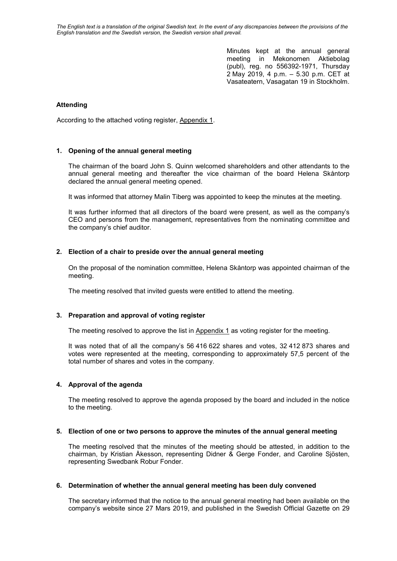*The English text is a translation of the original Swedish text. In the event of any discrepancies between the provisions of the English translation and the Swedish version, the Swedish version shall prevail.*

> Minutes kept at the annual general meeting in Mekonomen Aktiebolag (publ), reg. no 556392-1971, Thursday 2 May 2019, 4 p.m. – 5.30 p.m. CET at Vasateatern, Vasagatan 19 in Stockholm.

### **Attending**

According to the attached voting register, Appendix 1.

### **1. Opening of the annual general meeting**

The chairman of the board John S. Quinn welcomed shareholders and other attendants to the annual general meeting and thereafter the vice chairman of the board Helena Skåntorp declared the annual general meeting opened.

It was informed that attorney Malin Tiberg was appointed to keep the minutes at the meeting.

It was further informed that all directors of the board were present, as well as the company's CEO and persons from the management, representatives from the nominating committee and the company's chief auditor.

### **2. Election of a chair to preside over the annual general meeting**

On the proposal of the nomination committee, Helena Skåntorp was appointed chairman of the meeting.

The meeting resolved that invited guests were entitled to attend the meeting.

### **3. Preparation and approval of voting register**

The meeting resolved to approve the list in Appendix 1 as voting register for the meeting.

It was noted that of all the company's 56 416 622 shares and votes, 32 412 873 shares and votes were represented at the meeting, corresponding to approximately 57,5 percent of the total number of shares and votes in the company.

### **4. Approval of the agenda**

The meeting resolved to approve the agenda proposed by the board and included in the notice to the meeting.

### **5. Election of one or two persons to approve the minutes of the annual general meeting**

The meeting resolved that the minutes of the meeting should be attested, in addition to the chairman, by Kristian Åkesson, representing Didner & Gerge Fonder, and Caroline Sjösten, representing Swedbank Robur Fonder.

### **6. Determination of whether the annual general meeting has been duly convened**

The secretary informed that the notice to the annual general meeting had been available on the company's website since 27 Mars 2019, and published in the Swedish Official Gazette on 29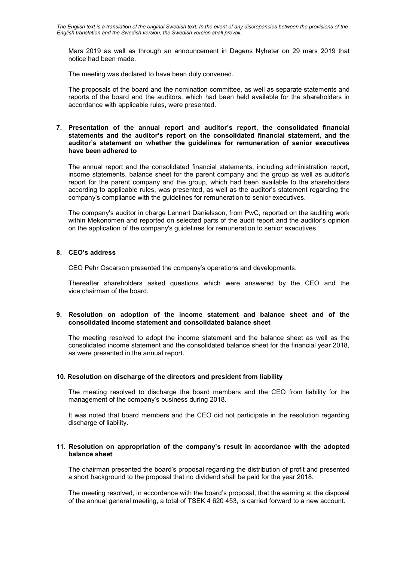Mars 2019 as well as through an announcement in Dagens Nyheter on 29 mars 2019 that notice had been made.

The meeting was declared to have been duly convened.

The proposals of the board and the nomination committee, as well as separate statements and reports of the board and the auditors, which had been held available for the shareholders in accordance with applicable rules, were presented.

### **7. Presentation of the annual report and auditor's report, the consolidated financial statements and the auditor's report on the consolidated financial statement, and the auditor's statement on whether the guidelines for remuneration of senior executives have been adhered to**

The annual report and the consolidated financial statements, including administration report, income statements, balance sheet for the parent company and the group as well as auditor's report for the parent company and the group, which had been available to the shareholders according to applicable rules, was presented, as well as the auditor's statement regarding the company's compliance with the guidelines for remuneration to senior executives.

The company's auditor in charge Lennart Danielsson, from PwC, reported on the auditing work within Mekonomen and reported on selected parts of the audit report and the auditor's opinion on the application of the company's guidelines for remuneration to senior executives.

# **8. CEO's address**

CEO Pehr Oscarson presented the company's operations and developments.

Thereafter shareholders asked questions which were answered by the CEO and the vice chairman of the board.

### **9. Resolution on adoption of the income statement and balance sheet and of the consolidated income statement and consolidated balance sheet**

The meeting resolved to adopt the income statement and the balance sheet as well as the consolidated income statement and the consolidated balance sheet for the financial year 2018, as were presented in the annual report.

## **10. Resolution on discharge of the directors and president from liability**

The meeting resolved to discharge the board members and the CEO from liability for the management of the company's business during 2018.

It was noted that board members and the CEO did not participate in the resolution regarding discharge of liability.

### **11. Resolution on appropriation of the company's result in accordance with the adopted balance sheet**

The chairman presented the board's proposal regarding the distribution of profit and presented a short background to the proposal that no dividend shall be paid for the year 2018.

The meeting resolved, in accordance with the board's proposal, that the earning at the disposal of the annual general meeting, a total of TSEK 4 620 453, is carried forward to a new account.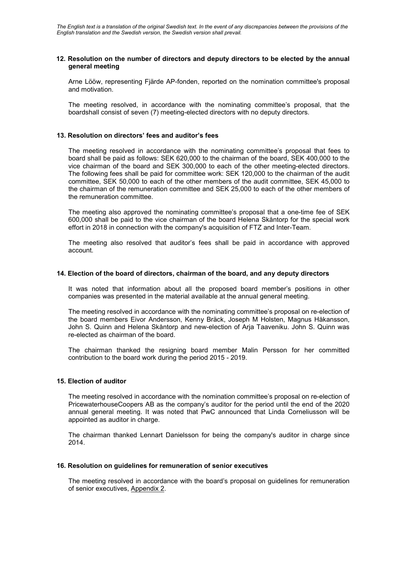### **12. Resolution on the number of directors and deputy directors to be elected by the annual general meeting**

Arne Lööw, representing Fjärde AP-fonden, reported on the nomination committee's proposal and motivation.

The meeting resolved, in accordance with the nominating committee's proposal, that the boardshall consist of seven (7) meeting-elected directors with no deputy directors.

## **13. Resolution on directors' fees and auditor's fees**

The meeting resolved in accordance with the nominating committee's proposal that fees to board shall be paid as follows: SEK 620,000 to the chairman of the board, SEK 400,000 to the vice chairman of the board and SEK 300,000 to each of the other meeting-elected directors. The following fees shall be paid for committee work: SEK 120,000 to the chairman of the audit committee, SEK 50,000 to each of the other members of the audit committee, SEK 45,000 to the chairman of the remuneration committee and SEK 25,000 to each of the other members of the remuneration committee.

The meeting also approved the nominating committee's proposal that a one-time fee of SEK 600,000 shall be paid to the vice chairman of the board Helena Skåntorp for the special work effort in 2018 in connection with the company's acquisition of FTZ and Inter-Team.

The meeting also resolved that auditor's fees shall be paid in accordance with approved account.

### **14. Election of the board of directors, chairman of the board, and any deputy directors**

It was noted that information about all the proposed board member's positions in other companies was presented in the material available at the annual general meeting.

The meeting resolved in accordance with the nominating committee's proposal on re-election of the board members Eivor Andersson, Kenny Bräck, Joseph M Holsten, Magnus Håkansson, John S. Quinn and Helena Skåntorp and new-election of Arja Taaveniku. John S. Quinn was re-elected as chairman of the board.

The chairman thanked the resigning board member Malin Persson for her committed contribution to the board work during the period 2015 - 2019.

### **15. Election of auditor**

The meeting resolved in accordance with the nomination committee's proposal on re-election of PricewaterhouseCoopers AB as the company's auditor for the period until the end of the 2020 annual general meeting. It was noted that PwC announced that Linda Corneliusson will be appointed as auditor in charge.

The chairman thanked Lennart Danielsson for being the company's auditor in charge since 2014.

### **16. Resolution on guidelines for remuneration of senior executives**

The meeting resolved in accordance with the board's proposal on guidelines for remuneration of senior executives, Appendix 2.